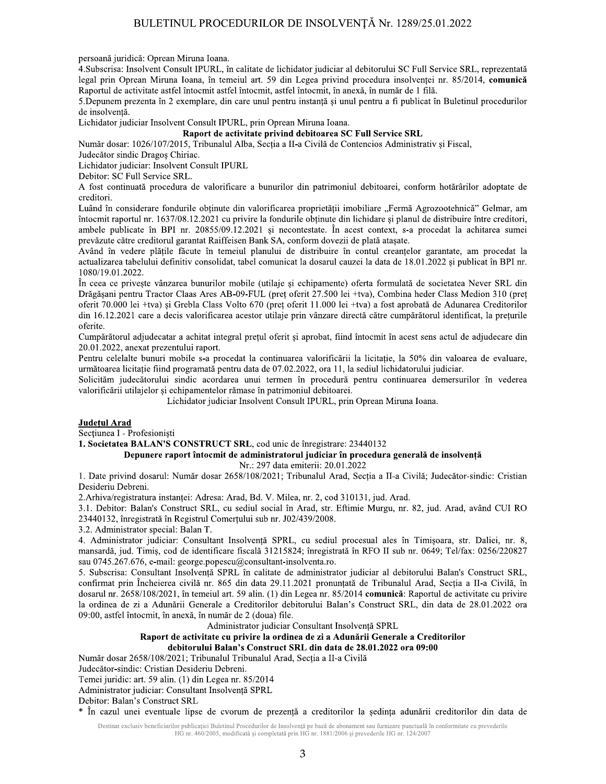# BULETINUL PROCEDURILOR DE INSOLVENȚĂ Nr. 1289/25.01.2022

persoană juridică: Oprean Miruna Ioana.

4. Subscrisa: Insolvent Consult IPURL, în calitate de lichidator judiciar al debitorului SC Full Service SRL, reprezentată legal prin Oprean Miruna Ioana, în temeiul art. 59 din Legea privind procedura insolvenței nr. 85/2014, comunică Raportul de activitate astfel întocmit astfel întocmit, astfel întocmit, în anexă, în număr de 1 filă.

5. Depunem prezenta în 2 exemplare, din care unul pentru instantă și unul pentru a fi publicat în Buletinul procedurilor de insolvență.

Lichidator judiciar Insolvent Consult IPURL, prin Oprean Miruna Ioana.

# Raport de activitate privind debitoarea SC Full Service SRL

Număr dosar: 1026/107/2015. Tribunalul Alba. Sectia a II-a Civilă de Contencios Administrativ și Fiscal.

Judecător sindic Dragos Chiriac.

Lichidator judiciar: Insolvent Consult IPURL

Debitor: SC Full Service SRL.

A fost continuată procedura de valorificare a bunurilor din patrimoniul debitoarei, conform hotărârilor adoptate de creditori.

Luând în considerare fondurile obținute din valorificarea proprietății imobiliare "Fermă Agrozootehnică" Gelmar, am întocmit raportul nr. 1637/08.12.2021 cu privire la fondurile obținute din lichidare și planul de distribuire între creditori, ambele publicate în BPI nr. 20855/09.12.2021 și necontestate. În acest context, s-a procedat la achitarea sumei prevăzute către creditorul garantat Raiffeisen Bank SA, conform dovezii de plată ataşate.

Având în vedere plățile făcute în temeiul planului de distribuire în contul creanțelor garantate, am procedat la actualizarea tabelului definitiv consolidat, tabel comunicat la dosarul cauzei la data de 18.01.2022 și publicat în BPI nr. 1080/19.01.2022.

În ceea ce privește vânzarea bunurilor mobile (utilaje și echipamente) oferta formulată de societatea Never SRL din Drăgășani pentru Tractor Claas Ares AB-09-FUL (preț oferit 27.500 lei +tva), Combina heder Class Medion 310 (preț oferit 70.000 lei +tva) și Grebla Class Volto 670 (preț oferit 11.000 lei +tva) a fost aprobată de Adunarea Creditorilor din 16.12.2021 care a decis valorificarea acestor utilaje prin vânzare directă către cumpărătorul identificat, la prețurile oferite.

Cumpărătorul adjudecatar a achitat integral prețul oferit și aprobat, fiind întocmit în acest sens actul de adjudecare din 20.01.2022, anexat prezentului raport.

Pentru celelalte bunuri mobile s-a procedat la continuarea valorificării la licitatie, la 50% din valoarea de evaluare, următoarea licitație fiind programată pentru data de 07.02.2022, ora 11, la sediul lichidatorului judiciar.

Solicităm judecătorului sindic acordarea unui termen în procedură pentru continuarea demersurilor în vederea valorificării utilajelor și echipamentelor rămase în patrimoniul debitoarei.

Lichidator judiciar Insolvent Consult IPURL, prin Oprean Miruna Ioana.

## **Județul Arad**

Sectiunea I - Profesionisti

1. Societatea BALAN'S CONSTRUCT SRL, cod unic de înregistrare: 23440132

## Depunere raport întocmit de administratorul judiciar în procedura generală de insolventă Nr.: 297 data emiterii: 20.01.2022

1. Date privind dosarul: Număr dosar 2658/108/2021; Tribunalul Arad, Secția a II-a Civilă; Judecător-sindic: Cristian Desideriu Debreni.

2. Arhiva/registratura instanței: Adresa: Arad, Bd. V. Milea, nr. 2, cod 310131, jud. Arad.

3.1. Debitor: Balan's Construct SRL, cu sediul social în Arad, str. Eftimie Murgu, nr. 82, jud. Arad, având CUI RO 23440132, înregistrată în Registrul Comerțului sub nr. J02/439/2008.

3.2. Administrator special: Balan T.

4. Administrator judiciar: Consultant Insolvență SPRL, cu sediul procesual ales în Timișoara, str. Daliei, nr. 8, mansardă, jud. Timiș, cod de identificare fiscală 31215824; înregistrată în RFO II sub nr. 0649; Tel/fax: 0256/220827 sau 0745.267.676, e-mail: george.popescu@consultant-insolventa.ro.

5. Subscrisa: Consultant Insolvență SPRL în calitate de administrator judiciar al debitorului Balan's Construct SRL, confirmat prin Încheierea civilă nr. 865 din data 29.11.2021 pronunțată de Tribunalul Arad, Secția a II-a Civilă, în dosarul nr. 2658/108/2021, în temeiul art. 59 alin. (1) din Legea nr. 85/2014 comunică: Raportul de activitate cu privire la ordinea de zi a Adunării Generale a Creditorilor debitorului Balan's Construct SRL, din data de 28.01.2022 ora 09:00, astfel întocmit, în anexă, în număr de 2 (doua) file.

Administrator judiciar Consultant Insolvență SPRL

## Raport de activitate cu privire la ordinea de zi a Adunării Generale a Creditorilor debitorului Balan's Construct SRL din data de 28.01.2022 ora 09:00

Număr dosar 2658/108/2021; Tribunalul Tribunalul Arad, Secția a II-a Civilă

Judecător-sindic: Cristian Desideriu Debreni.

Temei juridic: art. 59 alin. (1) din Legea nr. 85/2014

Administrator judiciar: Consultant Insolventă SPRL

Debitor: Balan's Construct SRL

\* În cazul unei eventuale lipse de cvorum de prezență a creditorilor la ședința adunării creditorilor din data de

Destinat exclusiv beneficiarilor publicației Buletinul Procedurilor de Insolvență pe bază de abonament sau furnizare punctuală în conformitate cu prevederile HG nr. 460/2005, modificată și completată prin HG nr. 1881/2006 și prevederile HG nr. 124/2007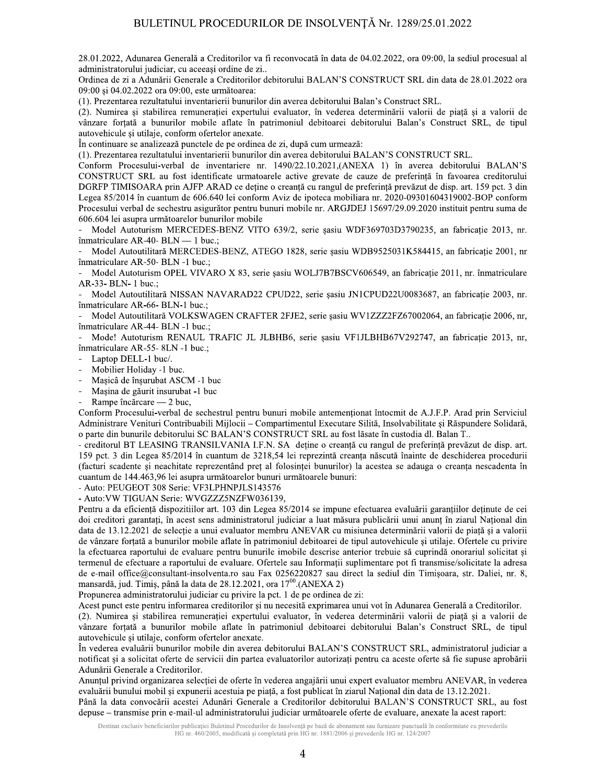28.01.2022, Adunarea Generală a Creditorilor va fi reconvocată în data de 04.02.2022, ora 09:00, la sediul procesual al administratorului judiciar, cu aceeași ordine de zi..

Ordinea de zi a Adunării Generale a Creditorilor debitorului BALAN'S CONSTRUCT SRL din data de 28.01.2022 ora 09:00 și 04.02.2022 ora 09:00, este următoarea:

(1). Prezentarea rezultatului inventarierii bunurilor din averea debitorului Balan's Construct SRL.

(2). Numirea și stabilirea remunerației expertului evaluator, în vederea determinării valorii de piață și a valorii de vânzare forțată a bunurilor mobile aflate în patrimoniul debitoarei debitorului Balan's Construct SRL, de tipul autovehicule si utilaje, conform ofertelor anexate.

În continuare se analizează punctele de pe ordinea de zi, după cum urmează:

(1). Prezentarea rezultatului inventarierii bunurilor din averea debitorului BALAN'S CONSTRUCT SRL.

Conform Procesului-verbal de inventariere nr. 1490/22.10.2021, (ANEXA 1) în averea debitorului BALAN'S CONSTRUCT SRL au fost identificate urmatoarele active grevate de cauze de preferință în favoarea creditorului DGRFP TIMISOARA prin AJFP ARAD ce deține o creanță cu rangul de preferință prevăzut de disp. art. 159 pct. 3 din Legea 85/2014 în cuantum de 606.640 lei conform Aviz de ipoteca mobiliara nr. 2020-09301604319002-BOP conform Procesului verbal de sechestru asigurător pentru bunuri mobile nr. ARGJDEJ 15697/29.09.2020 instituit pentru suma de 606.604 lei asupra următoarelor bunurilor mobile

Model Autoturism MERCEDES-BENZ VITO 639/2, serie șasiu WDF369703D3790235, an fabricație 2013, nr. înmatriculare AR-40- BLN - 1 buc.;

Model Autoutilitară MERCEDES-BENZ, ATEGO 1828, serie șasiu WDB9525031K584415, an fabricație 2001, nr înmatriculare AR-50- BLN -1 buc.;

Model Autoturism OPEL VIVARO X 83, serie șasiu WOLJ7B7BSCV606549, an fabricație 2011, nr. înmatriculare AR-33- BLN- 1 buc.;

Model Autoutilitară NISSAN NAVARAD22 CPUD22, serie șasiu JN1CPUD22U0083687, an fabricație 2003, nr. înmatriculare AR-66- BLN-1 buc.;

Model Autoutilitară VOLKSWAGEN CRAFTER 2FJE2, serie șasiu WV1ZZZ2FZ67002064, an fabricație 2006, nr, înmatriculare AR-44- BLN -1 buc.;

Mode! Autoturism RENAUL TRAFIC JL JLBHB6, serie șasiu VF1JLBHB67V292747, an fabricație 2013, nr, înmatriculare AR-55- 8LN -1 buc.;

- Laptop DELL-1 buc/.
- Mobilier Holiday -1 buc.
- $\overline{a}$ Mașicâ de înșurubat ASCM -1 buc
- Mașina de găurit insurubat -1 buc

Rampe încărcare — 2 buc,

Conform Procesului-verbal de sechestrul pentru bunuri mobile antementionat întocmit de A.J.F.P. Arad prin Serviciul Administrare Venituri Contribuabili Mijlocii – Compartimentul Executare Silită, Insolvabilitate și Răspundere Solidară, o parte din bunurile debitorului SC BALAN'S CONSTRUCT SRL au fost lăsate în custodia dl. Balan T..

- creditorul BT LEASING TRANSILVANIA I.F.N. SA detine o creantă cu rangul de preferință prevăzut de disp. art. 159 pct. 3 din Legea 85/2014 în cuantum de 3218,54 lei reprezintă creanța născută înainte de deschiderea procedurii (facturi scadente și neachitate reprezentând preț al folosinței bunurilor) la acestea se adauga o creanța nescadenta în cuantum de 144.463,96 lei asupra următoarelor bunuri următoarele bunuri:

- Auto: PEUGEOT 308 Serie: VF3LPHNPJLS143576

- Auto: VW TIGUAN Serie: WVGZZZ5NZFW036139,

Pentru a da eficiență dispozitiilor art. 103 din Legea 85/2014 se impune efectuarea evaluării garanțiilor deținute de cei doi creditori garantați, în acest sens administratorul judiciar a luat măsura publicării unui anunț în ziarul Național din data de 13.12.2021 de selectie a unui evaluator membru ANEVAR cu misiunea determinării valorii de piată si a valorii de vânzare fortată a bunurilor mobile aflate în patrimoniul debitoarei de tipul autovehicule și utilaie. Ofertele cu privire la efectuarea raportului de evaluare pentru bunurile imobile descrise anterior trebuie să cuprindă onorariul solicitat și termenul de efectuare a raportului de evaluare. Ofertele sau Informatii suplimentare pot fi transmise/solicitate la adresa de e-mail office@consultant-insolventa.ro sau Fax 0256220827 sau direct la sediul din Timisoara, str. Daliei, nr. 8, mansardă, jud. Timiș, până la data de 28.12.2021, ora 17<sup>00</sup>.(ANEXA 2)

Propunerea administratorului judiciar cu privire la pct. 1 de pe ordinea de zi:

Acest punct este pentru informarea creditorilor și nu necesită exprimarea unui vot în Adunarea Generală a Creditorilor.

(2). Numirea și stabilirea remunerației expertului evaluator, în vederea determinării valorii de piață și a valorii de vânzare forțată a bunurilor mobile aflate în patrimoniul debitoarei debitorului Balan's Construct SRL, de tipul autovehicule și utilaje, conform ofertelor anexate.

În vederea evaluării bunurilor mobile din averea debitorului BALAN'S CONSTRUCT SRL, administratorul judiciar a notificat și a solicitat oferte de servicii din partea evaluatorilor autorizați pentru ca aceste oferte să fie supuse aprobării Adunării Generale a Creditorilor.

Anunțul privind organizarea selecției de oferte în vederea angajării unui expert evaluator membru ANEVAR, în vederea evaluării bunului mobil și expunerii acestuia pe piață, a fost publicat în ziarul Național din data de 13.12.2021.

Până la data convocării acestei Adunări Generale a Creditorilor debitorului BALAN'S CONSTRUCT SRL, au fost depuse – transmise prin e-mail-ul administratorului judiciar următoarele oferte de evaluare, anexate la acest raport:

Destinat exclusiv beneficiarilor publicației Buletinul Procedurilor de Insolvență pe bază de abonament sau furnizare punctuală în conformitate cu prevederile HG nr. 460/2005, modificată și completată prin HG nr. 1881/2006 și prevederile HG nr. 124/2007